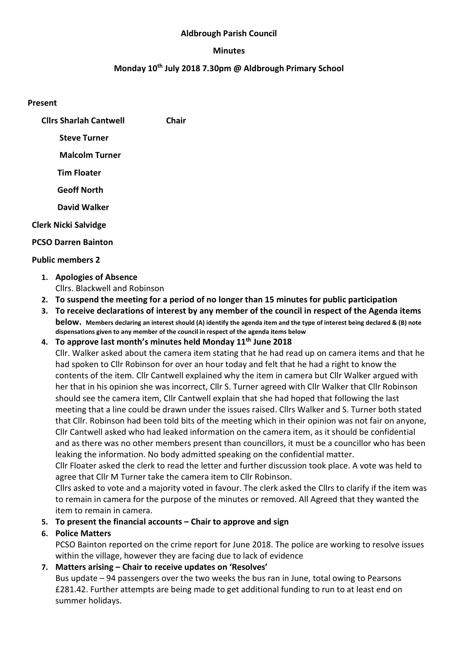### Aldbrough Parish Council

#### Minutes

# Monday 10th July 2018 7.30pm @ Aldbrough Primary School

#### Present

| <b>Clirs Sharlah Cantwell</b> | Chair |
|-------------------------------|-------|
| <b>Steve Turner</b>           |       |
| <b>Malcolm Turner</b>         |       |

Tim Floater

Geoff North

David Walker

### Clerk Nicki Salvidge

#### PCSO Darren Bainton

### Public members 2

- 1. Apologies of Absence Cllrs. Blackwell and Robinson
- 2. To suspend the meeting for a period of no longer than 15 minutes for public participation
- 3. To receive declarations of interest by any member of the council in respect of the Agenda items below. Members declaring an interest should (A) identify the agenda item and the type of interest being declared & (B) note dispensations given to any member of the council in respect of the agenda items below
- 4. To approve last month's minutes held Monday  $11<sup>th</sup>$  June 2018

Cllr. Walker asked about the camera item stating that he had read up on camera items and that he had spoken to Cllr Robinson for over an hour today and felt that he had a right to know the contents of the item. Cllr Cantwell explained why the item in camera but Cllr Walker argued with her that in his opinion she was incorrect, Cllr S. Turner agreed with Cllr Walker that Cllr Robinson should see the camera item, Cllr Cantwell explain that she had hoped that following the last meeting that a line could be drawn under the issues raised. Cllrs Walker and S. Turner both stated that Cllr. Robinson had been told bits of the meeting which in their opinion was not fair on anyone, Cllr Cantwell asked who had leaked information on the camera item, as it should be confidential and as there was no other members present than councillors, it must be a councillor who has been leaking the information. No body admitted speaking on the confidential matter.

Cllr Floater asked the clerk to read the letter and further discussion took place. A vote was held to agree that Cllr M Turner take the camera item to Cllr Robinson.

Cllrs asked to vote and a majority voted in favour. The clerk asked the Cllrs to clarify if the item was to remain in camera for the purpose of the minutes or removed. All Agreed that they wanted the item to remain in camera.

## 5. To present the financial accounts – Chair to approve and sign

## 6. Police Matters

PCSO Bainton reported on the crime report for June 2018. The police are working to resolve issues within the village, however they are facing due to lack of evidence

# 7. Matters arising – Chair to receive updates on 'Resolves'

Bus update – 94 passengers over the two weeks the bus ran in June, total owing to Pearsons £281.42. Further attempts are being made to get additional funding to run to at least end on summer holidays.